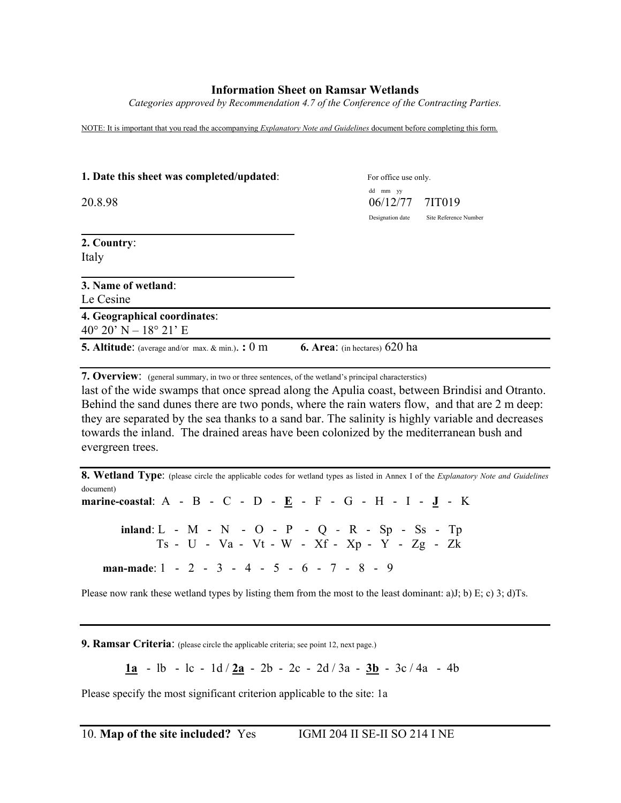## **Information Sheet on Ramsar Wetlands**

*Categories approved by Recommendation 4.7 of the Conference of the Contracting Parties.*

NOTE: It is important that you read the accompanying *Explanatory Note and Guidelines* document before completing this form.

| 1. Date this sheet was completed/updated:                             |                                      | For office use only.  |  |
|-----------------------------------------------------------------------|--------------------------------------|-----------------------|--|
| 20.8.98                                                               | dd mm yy<br>06/12/77                 | 7IT019                |  |
|                                                                       | Designation date                     | Site Reference Number |  |
| 2. Country:<br>Italy                                                  |                                      |                       |  |
| 3. Name of wetland:<br>Le Cesine                                      |                                      |                       |  |
| 4. Geographical coordinates:<br>$40^{\circ} 20' N - 18^{\circ} 21' E$ |                                      |                       |  |
| <b>5.</b> Altitude: (average and/or max. $\&$ min.).: 0 m             | <b>6. Area:</b> (in hectares) 620 ha |                       |  |

**7. Overview**: (general summary, in two or three sentences, of the wetland's principal characterstics)

last of the wide swamps that once spread along the Apulia coast, between Brindisi and Otranto. Behind the sand dunes there are two ponds, where the rain waters flow, and that are 2 m deep: they are separated by the sea thanks to a sand bar. The salinity is highly variable and decreases towards the inland. The drained areas have been colonized by the mediterranean bush and evergreen trees.

**8. Wetland Type**: (please circle the applicable codes for wetland types as listed in Annex I of the *Explanatory Note and Guidelines* document) **marine-coastal**: A - B - C - D - **E** - F - G - H - I - **J** - K **inland**: L - M - N-O - P - Q *-* R - Sp - Ss - Tp Ts - U - Va - Vt - W - Xf - Xp - Y - Zg - Zk **man-made**: 1 - 2 - 3 - 4 - 5 - 6 - 7 - 8 - 9

Please now rank these wetland types by listing them from the most to the least dominant: a)J; b) E; c) 3; d)Ts.

**9. Ramsar Criteria**: (please circle the applicable criteria; see point 12, next page.)

**1a** - lb - lc - 1d / **2a** - 2b - 2c - 2d / 3a - **3b** - 3c / 4a - 4b

Please specify the most significant criterion applicable to the site: 1a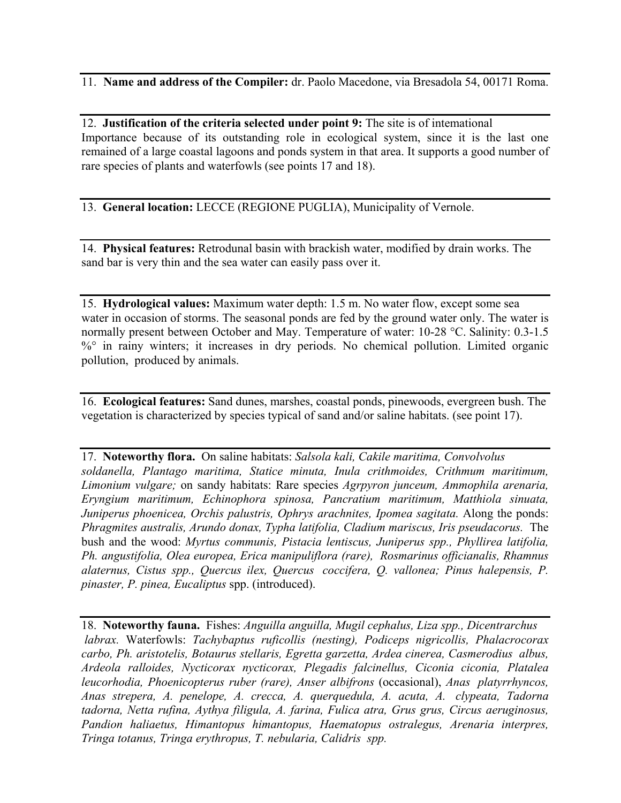11. **Name and address of the Compiler:** dr. Paolo Macedone, via Bresadola 54, 00171 Roma.

12. **Justification of the criteria selected under point 9:** The site is of intemational Importance because of its outstanding role in ecological system, since it is the last one remained of a large coastal lagoons and ponds system in that area. It supports a good number of rare species of plants and waterfowls (see points 17 and 18).

13. **General location:** LECCE (REGIONE PUGLIA), Municipality of Vernole.

14. **Physical features:** Retrodunal basin with brackish water, modified by drain works. The sand bar is very thin and the sea water can easily pass over it.

15. **Hydrological values:** Maximum water depth: 1.5 m. No water flow, except some sea water in occasion of storms. The seasonal ponds are fed by the ground water only. The water is normally present between October and May. Temperature of water: 10-28 °C. Salinity: 0.3-1.5 %° in rainy winters; it increases in dry periods. No chemical pollution. Limited organic pollution, produced by animals.

16. **Ecological features:** Sand dunes, marshes, coastal ponds, pinewoods, evergreen bush. The vegetation is characterized by species typical of sand and/or saline habitats. (see point 17).

17. **Noteworthy flora.** On saline habitats: *Salsola kali, Cakile maritima, Convolvolus soldanella, Plantago maritima, Statice minuta, Inula crithmoides, Crithmum maritimum, Limonium vulgare;* on sandy habitats: Rare species *Agrpyron junceum, Ammophila arenaria, Eryngium maritimum, Echinophora spinosa, Pancratium maritimum, Matthiola sinuata,* Juniperus phoenicea, Orchis palustris, Ophrys arachnites, Ipomea sagitata. Along the ponds: *Phragmites australis, Arundo donax, Typha latifolia, Cladium mariscus, Iris pseudacorus.* The bush and the wood: *Myrtus communis, Pistacia lentiscus, Juniperus spp., Phyllirea latifolia, Ph. angustifolia, Olea europea, Erica manipuliflora (rare), Rosmarinus officianalis, Rhamnus alaternus, Cistus spp., Quercus ilex, Quercus coccifera, Q. vallonea; Pinus halepensis, P. pinaster, P. pinea, Eucaliptus* spp. (introduced).

18. **Noteworthy fauna.** Fishes: *Anguilla anguilla, Mugil cephalus, Liza spp., Dicentrarchus labrax.* Waterfowls: *Tachybaptus ruficollis (nesting), Podiceps nigricollis, Phalacrocorax carbo, Ph. aristotelis, Botaurus stellaris, Egretta garzetta, Ardea cinerea, Casmerodius albus, Ardeola ralloides, Nycticorax nycticorax, Plegadis falcinellus, Ciconia ciconia, Platalea leucorhodia, Phoenicopterus ruber (rare), Anser albifrons* (occasional), *Anas platyrrhyncos, Anas strepera, A. penelope, A. crecca, A. querquedula, A. acuta, A. clypeata, Tadorna tadorna, Netta rufina, Aythya filigula, A. farina, Fulica atra, Grus grus, Circus aeruginosus, Pandion haliaetus, Himantopus himantopus, Haematopus ostralegus, Arenaria interpres, Tringa totanus, Tringa erythropus, T. nebularia, Calidris spp.*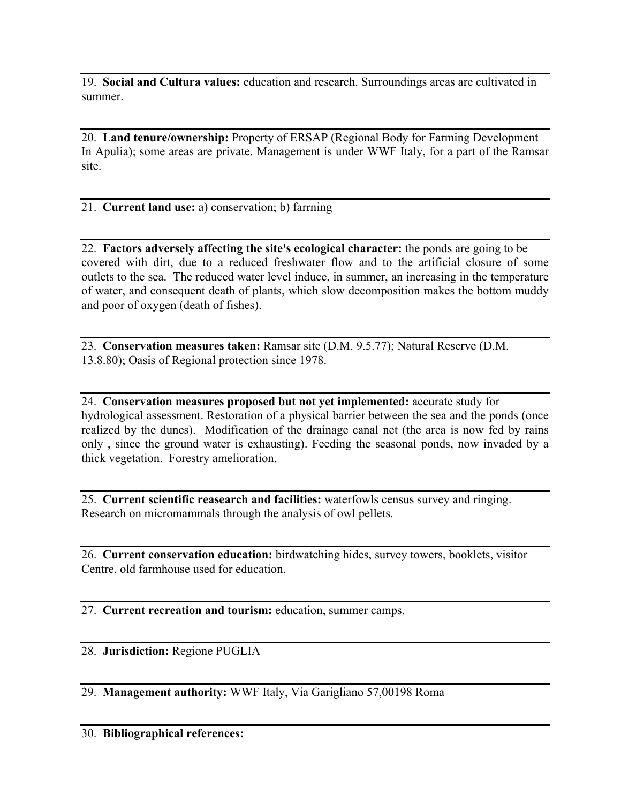19. **Social and Cultura values:** education and research. Surroundings areas are cultivated in summer.

20. **Land tenure/ownership:** Property of ERSAP (Regional Body for Farming Development In Apulia); some areas are private. Management is under WWF Italy, for a part of the Ramsar site.

21. **Current land use:** a) conservation; b) farrning

22. **Factors adversely affecting the site's ecological character:** the ponds are going to be covered with dirt, due to a reduced freshwater flow and to the artificial closure of some outlets to the sea. The reduced water level induce, in summer, an increasing in the temperature of water, and consequent death of plants, which slow decomposition makes the bottom muddy and poor of oxygen (death of fishes).

23. **Conservation measures taken:** Ramsar site (D.M. 9.5.77); Natural Reserve (D.M. 13.8.80); Oasis of Regional protection since 1978.

24. **Conservation measures proposed but not yet implemented:** accurate study for hydrological assessment. Restoration of a physical barrier between the sea and the ponds (once realized by the dunes). Modification of the drainage canal net (the area is now fed by rains only , since the ground water is exhausting). Feeding the seasonal ponds, now invaded by a thick vegetation. Forestry amelioration.

25. **Current scientific reasearch and facilities:** waterfowls census survey and ringing. Research on micromammals through the analysis of owl pellets.

26. **Current conservation education:** birdwatching hides, survey towers, booklets, visitor Centre, old farmhouse used for education.

27. **Current recreation and tourism:** education, summer camps.

28. **Jurisdiction:** Regione PUGLIA

29. **Management authority:** WWF Italy, Via Garigliano 57,00198 Roma